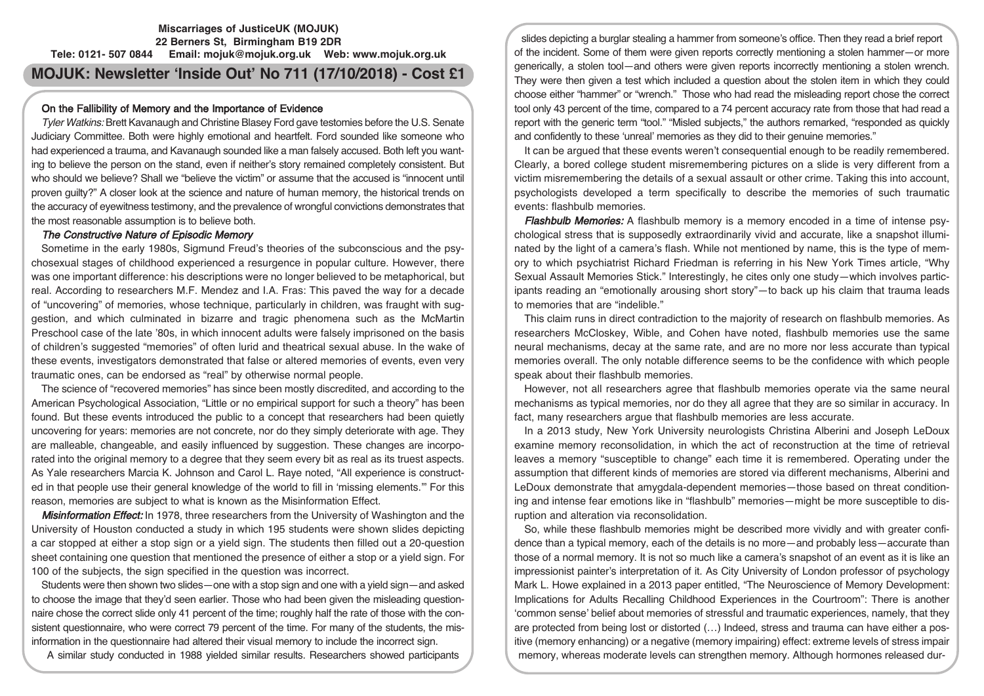## **Miscarriages of JusticeUK (MOJUK) 22 Berners St, Birmingham B19 2DR Tele: 0121- 507 0844 Email: mojuk@mojuk.org.uk Web: www.mojuk.org.uk**

# **MOJUK: Newsletter 'Inside Out' No 711 (17/10/2018) - Cost £1**

### On the Fallibility of Memory and the Importance of Evidence

Tyler Watkins: Brett Kavanaugh and Christine Blasey Ford gave testomies before the U.S. Senate Judiciary Committee. Both were highly emotional and heartfelt. Ford sounded like someone who had experienced a trauma, and Kavanaugh sounded like a man falsely accused. Both left you wanting to believe the person on the stand, even if neither's story remained completely consistent. But who should we believe? Shall we "believe the victim" or assume that the accused is "innocent until proven guilty?" A closer look at the science and nature of human memory, the historical trends on the accuracy of eyewitness testimony, and the prevalence of wrongful convictions demonstrates that the most reasonable assumption is to believe both.

### The Constructive Nature of Episodic Memory

Sometime in the early 1980s, Sigmund Freud's theories of the subconscious and the psychosexual stages of childhood experienced a resurgence in popular culture. However, there was one important difference: his descriptions were no longer believed to be metaphorical, but real. According to researchers M.F. Mendez and I.A. Fras: This paved the way for a decade of "uncovering" of memories, whose technique, particularly in children, was fraught with suggestion, and which culminated in bizarre and tragic phenomena such as the McMartin Preschool case of the late '80s, in which innocent adults were falsely imprisoned on the basis of children's suggested "memories" of often lurid and theatrical sexual abuse. In the wake of these events, investigators demonstrated that false or altered memories of events, even very traumatic ones, can be endorsed as "real" by otherwise normal people.

The science of "recovered memories" has since been mostly discredited, and according to the American Psychological Association, "Little or no empirical support for such a theory" has been found. But these events introduced the public to a concept that researchers had been quietly uncovering for years: memories are not concrete, nor do they simply deteriorate with age. They are malleable, changeable, and easily influenced by suggestion. These changes are incorporated into the original memory to a degree that they seem every bit as real as its truest aspects. As Yale researchers Marcia K. Johnson and Carol L. Raye noted, "All experience is constructed in that people use their general knowledge of the world to fill in 'missing elements.'" For this reason, memories are subject to what is known as the Misinformation Effect.

Misinformation Effect: In 1978, three researchers from the University of Washington and the University of Houston conducted a study in which 195 students were shown slides depicting a car stopped at either a stop sign or a yield sign. The students then filled out a 20-question sheet containing one question that mentioned the presence of either a stop or a yield sign. For 100 of the subjects, the sign specified in the question was incorrect.

Students were then shown two slides—one with a stop sign and one with a yield sign—and asked to choose the image that they'd seen earlier. Those who had been given the misleading questionnaire chose the correct slide only 41 percent of the time; roughly half the rate of those with the consistent questionnaire, who were correct 79 percent of the time. For many of the students, the misinformation in the questionnaire had altered their visual memory to include the incorrect sign.

A similar study conducted in 1988 yielded similar results. Researchers showed participants

slides depicting a burglar stealing a hammer from someone's office. Then they read a brief report of the incident. Some of them were given reports correctly mentioning a stolen hammer—or more generically, a stolen tool—and others were given reports incorrectly mentioning a stolen wrench. They were then given a test which included a question about the stolen item in which they could choose either "hammer" or "wrench." Those who had read the misleading report chose the correct tool only 43 percent of the time, compared to a 74 percent accuracy rate from those that had read a report with the generic term "tool." "Misled subjects," the authors remarked, "responded as quickly and confidently to these 'unreal' memories as they did to their genuine memories."

It can be argued that these events weren't consequential enough to be readily remembered. Clearly, a bored college student misremembering pictures on a slide is very different from a victim misremembering the details of a sexual assault or other crime. Taking this into account, psychologists developed a term specifically to describe the memories of such traumatic events: flashbulb memories.

**Flashbulb Memories:** A flashbulb memory is a memory encoded in a time of intense psychological stress that is supposedly extraordinarily vivid and accurate, like a snapshot illuminated by the light of a camera's flash. While not mentioned by name, this is the type of memory to which psychiatrist Richard Friedman is referring in his New York Times article, "Why Sexual Assault Memories Stick." Interestingly, he cites only one study—which involves participants reading an "emotionally arousing short story"—to back up his claim that trauma leads to memories that are "indelible."

This claim runs in direct contradiction to the majority of research on flashbulb memories. As researchers McCloskey, Wible, and Cohen have noted, flashbulb memories use the same neural mechanisms, decay at the same rate, and are no more nor less accurate than typical memories overall. The only notable difference seems to be the confidence with which people speak about their flashbulb memories.

However, not all researchers agree that flashbulb memories operate via the same neural mechanisms as typical memories, nor do they all agree that they are so similar in accuracy. In fact, many researchers argue that flashbulb memories are less accurate.

In a 2013 study, New York University neurologists Christina Alberini and Joseph LeDoux examine memory reconsolidation, in which the act of reconstruction at the time of retrieval leaves a memory "susceptible to change" each time it is remembered. Operating under the assumption that different kinds of memories are stored via different mechanisms, Alberini and LeDoux demonstrate that amygdala-dependent memories—those based on threat conditioning and intense fear emotions like in "flashbulb" memories—might be more susceptible to disruption and alteration via reconsolidation.

So, while these flashbulb memories might be described more vividly and with greater confidence than a typical memory, each of the details is no more—and probably less—accurate than those of a normal memory. It is not so much like a camera's snapshot of an event as it is like an impressionist painter's interpretation of it. As City University of London professor of psychology Mark L. Howe explained in a 2013 paper entitled, "The Neuroscience of Memory Development: Implications for Adults Recalling Childhood Experiences in the Courtroom": There is another 'common sense' belief about memories of stressful and traumatic experiences, namely, that they are protected from being lost or distorted (…) Indeed, stress and trauma can have either a positive (memory enhancing) or a negative (memory impairing) effect: extreme levels of stress impair memory, whereas moderate levels can strengthen memory. Although hormones released dur-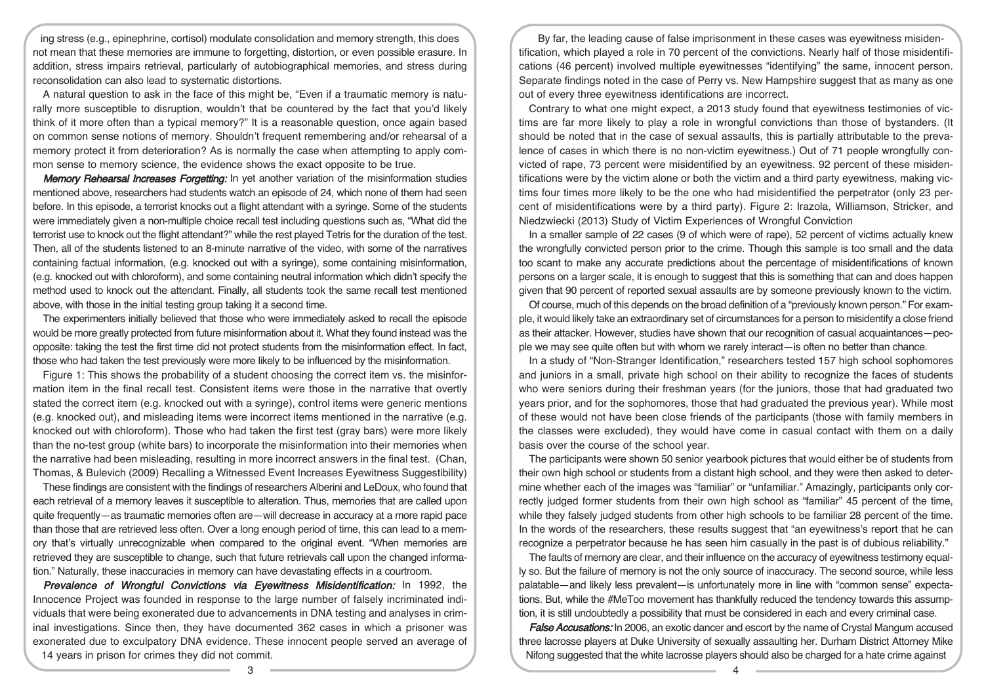ing stress (e.g., epinephrine, cortisol) modulate consolidation and memory strength, this does not mean that these memories are immune to forgetting, distortion, or even possible erasure. In addition, stress impairs retrieval, particularly of autobiographical memories, and stress during reconsolidation can also lead to systematic distortions.

A natural question to ask in the face of this might be, "Even if a traumatic memory is naturally more susceptible to disruption, wouldn't that be countered by the fact that you'd likely think of it more often than a typical memory?" It is a reasonable question, once again based on common sense notions of memory. Shouldn't frequent remembering and/or rehearsal of a memory protect it from deterioration? As is normally the case when attempting to apply common sense to memory science, the evidence shows the exact opposite to be true.

Memory Rehearsal Increases Forgetting: In yet another variation of the misinformation studies mentioned above, researchers had students watch an episode of 24, which none of them had seen before. In this episode, a terrorist knocks out a flight attendant with a syringe. Some of the students were immediately given a non-multiple choice recall test including questions such as, "What did the terrorist use to knock out the flight attendant?" while the rest played Tetris for the duration of the test. Then, all of the students listened to an 8-minute narrative of the video, with some of the narratives containing factual information, (e.g. knocked out with a syringe), some containing misinformation, (e.g. knocked out with chloroform), and some containing neutral information which didn't specify the method used to knock out the attendant. Finally, all students took the same recall test mentioned above, with those in the initial testing group taking it a second time.

The experimenters initially believed that those who were immediately asked to recall the episode would be more greatly protected from future misinformation about it. What they found instead was the opposite: taking the test the first time did not protect students from the misinformation effect. In fact, those who had taken the test previously were more likely to be influenced by the misinformation.

Figure 1: This shows the probability of a student choosing the correct item vs. the misinformation item in the final recall test. Consistent items were those in the narrative that overtly stated the correct item (e.g. knocked out with a syringe), control items were generic mentions (e.g. knocked out), and misleading items were incorrect items mentioned in the narrative (e.g. knocked out with chloroform). Those who had taken the first test (gray bars) were more likely than the no-test group (white bars) to incorporate the misinformation into their memories when the narrative had been misleading, resulting in more incorrect answers in the final test. (Chan, Thomas, & Bulevich (2009) Recalling a Witnessed Event Increases Eyewitness Suggestibility)

These findings are consistent with the findings of researchers Alberini and LeDoux, who found that each retrieval of a memory leaves it susceptible to alteration. Thus, memories that are called upon quite frequently—as traumatic memories often are—will decrease in accuracy at a more rapid pace than those that are retrieved less often. Over a long enough period of time, this can lead to a memory that's virtually unrecognizable when compared to the original event. "When memories are retrieved they are susceptible to change, such that future retrievals call upon the changed information." Naturally, these inaccuracies in memory can have devastating effects in a courtroom.

Prevalence of Wrongful Convictions via Evewitness Misidentification: In 1992, the Innocence Project was founded in response to the large number of falsely incriminated individuals that were being exonerated due to advancements in DNA testing and analyses in criminal investigations. Since then, they have documented 362 cases in which a prisoner was exonerated due to exculpatory DNA evidence. These innocent people served an average of 14 years in prison for crimes they did not commit.

By far, the leading cause of false imprisonment in these cases was eyewitness misidentification, which played a role in 70 percent of the convictions. Nearly half of those misidentifications (46 percent) involved multiple eyewitnesses "identifying" the same, innocent person. Separate findings noted in the case of Perry vs. New Hampshire suggest that as many as one out of every three eyewitness identifications are incorrect.

Contrary to what one might expect, a 2013 study found that eyewitness testimonies of victims are far more likely to play a role in wrongful convictions than those of bystanders. (It should be noted that in the case of sexual assaults, this is partially attributable to the prevalence of cases in which there is no non-victim eyewitness.) Out of 71 people wrongfully convicted of rape, 73 percent were misidentified by an eyewitness. 92 percent of these misidentifications were by the victim alone or both the victim and a third party eyewitness, making victims four times more likely to be the one who had misidentified the perpetrator (only 23 percent of misidentifications were by a third party). Figure 2: Irazola, Williamson, Stricker, and Niedzwiecki (2013) Study of Victim Experiences of Wrongful Conviction

In a smaller sample of 22 cases (9 of which were of rape), 52 percent of victims actually knew the wrongfully convicted person prior to the crime. Though this sample is too small and the data too scant to make any accurate predictions about the percentage of misidentifications of known persons on a larger scale, it is enough to suggest that this is something that can and does happen given that 90 percent of reported sexual assaults are by someone previously known to the victim.

Of course, much of this depends on the broad definition of a "previously known person." For example, it would likely take an extraordinary set of circumstances for a person to misidentify a close friend as their attacker. However, studies have shown that our recognition of casual acquaintances—people we may see quite often but with whom we rarely interact—is often no better than chance.

In a study of "Non-Stranger Identification," researchers tested 157 high school sophomores and juniors in a small, private high school on their ability to recognize the faces of students who were seniors during their freshman years (for the juniors, those that had graduated two years prior, and for the sophomores, those that had graduated the previous year). While most of these would not have been close friends of the participants (those with family members in the classes were excluded), they would have come in casual contact with them on a daily basis over the course of the school year.

The participants were shown 50 senior yearbook pictures that would either be of students from their own high school or students from a distant high school, and they were then asked to determine whether each of the images was "familiar" or "unfamiliar." Amazingly, participants only correctly judged former students from their own high school as "familiar" 45 percent of the time, while they falsely judged students from other high schools to be familiar 28 percent of the time. In the words of the researchers, these results suggest that "an eyewitness's report that he can recognize a perpetrator because he has seen him casually in the past is of dubious reliability."

The faults of memory are clear, and their influence on the accuracy of eyewitness testimony equally so. But the failure of memory is not the only source of inaccuracy. The second source, while less palatable—and likely less prevalent—is unfortunately more in line with "common sense" expectations. But, while the #MeToo movement has thankfully reduced the tendency towards this assumption, it is still undoubtedly a possibility that must be considered in each and every criminal case.

**False Accusations:** In 2006, an exotic dancer and escort by the name of Crystal Mangum accused three lacrosse players at Duke University of sexually assaulting her. Durham District Attorney Mike Nifong suggested that the white lacrosse players should also be charged for a hate crime against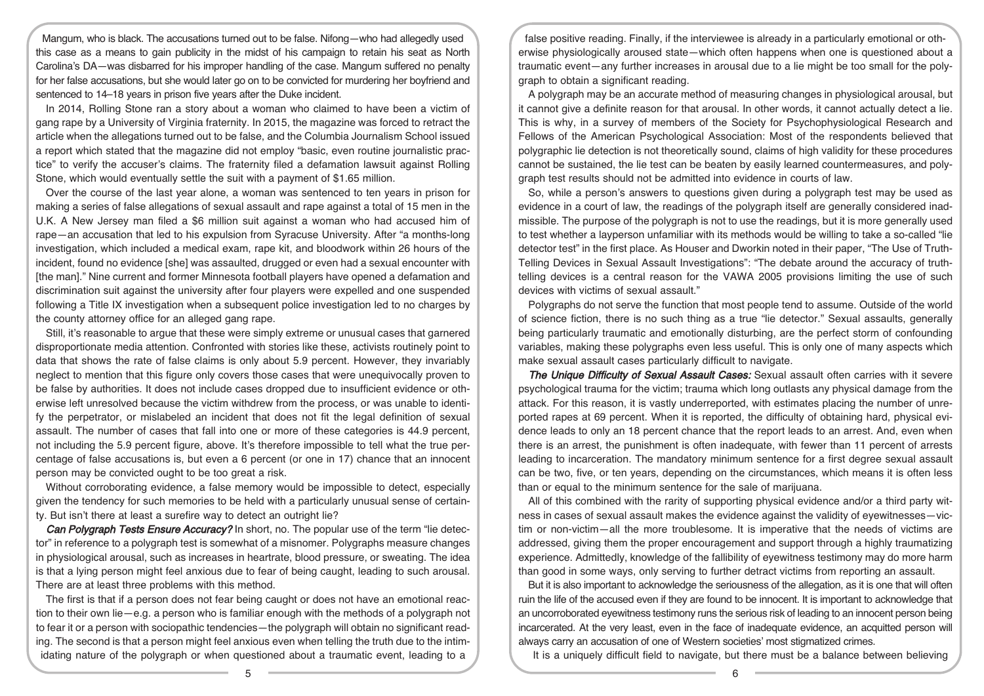Mangum, who is black. The accusations turned out to be false. Nifong—who had allegedly used this case as a means to gain publicity in the midst of his campaign to retain his seat as North Carolina's DA—was disbarred for his improper handling of the case. Mangum suffered no penalty for her false accusations, but she would later go on to be convicted for murdering her boyfriend and sentenced to 14–18 years in prison five years after the Duke incident.

In 2014, Rolling Stone ran a story about a woman who claimed to have been a victim of gang rape by a University of Virginia fraternity. In 2015, the magazine was forced to retract the article when the allegations turned out to be false, and the Columbia Journalism School issued a report which stated that the magazine did not employ "basic, even routine journalistic practice" to verify the accuser's claims. The fraternity filed a defamation lawsuit against Rolling Stone, which would eventually settle the suit with a payment of \$1.65 million.

Over the course of the last year alone, a woman was sentenced to ten years in prison for making a series of false allegations of sexual assault and rape against a total of 15 men in the U.K. A New Jersey man filed a \$6 million suit against a woman who had accused him of rape—an accusation that led to his expulsion from Syracuse University. After "a months-long investigation, which included a medical exam, rape kit, and bloodwork within 26 hours of the incident, found no evidence [she] was assaulted, drugged or even had a sexual encounter with [the man]." Nine current and former Minnesota football players have opened a defamation and discrimination suit against the university after four players were expelled and one suspended following a Title IX investigation when a subsequent police investigation led to no charges by the county attorney office for an alleged gang rape.

Still, it's reasonable to argue that these were simply extreme or unusual cases that garnered disproportionate media attention. Confronted with stories like these, activists routinely point to data that shows the rate of false claims is only about 5.9 percent. However, they invariably neglect to mention that this figure only covers those cases that were unequivocally proven to be false by authorities. It does not include cases dropped due to insufficient evidence or otherwise left unresolved because the victim withdrew from the process, or was unable to identify the perpetrator, or mislabeled an incident that does not fit the legal definition of sexual assault. The number of cases that fall into one or more of these categories is 44.9 percent, not including the 5.9 percent figure, above. It's therefore impossible to tell what the true percentage of false accusations is, but even a 6 percent (or one in 17) chance that an innocent person may be convicted ought to be too great a risk.

Without corroborating evidence, a false memory would be impossible to detect, especially given the tendency for such memories to be held with a particularly unusual sense of certainty. But isn't there at least a surefire way to detect an outright lie?

Can Polygraph Tests Ensure Accuracy? In short, no. The popular use of the term "lie detector" in reference to a polygraph test is somewhat of a misnomer. Polygraphs measure changes in physiological arousal, such as increases in heartrate, blood pressure, or sweating. The idea is that a lying person might feel anxious due to fear of being caught, leading to such arousal. There are at least three problems with this method.

The first is that if a person does not fear being caught or does not have an emotional reaction to their own lie—e.g. a person who is familiar enough with the methods of a polygraph not to fear it or a person with sociopathic tendencies—the polygraph will obtain no significant reading. The second is that a person might feel anxious even when telling the truth due to the intimidating nature of the polygraph or when questioned about a traumatic event, leading to a

false positive reading. Finally, if the interviewee is already in a particularly emotional or otherwise physiologically aroused state—which often happens when one is questioned about a traumatic event—any further increases in arousal due to a lie might be too small for the polygraph to obtain a significant reading.

A polygraph may be an accurate method of measuring changes in physiological arousal, but it cannot give a definite reason for that arousal. In other words, it cannot actually detect a lie. This is why, in a survey of members of the Society for Psychophysiological Research and Fellows of the American Psychological Association: Most of the respondents believed that polygraphic lie detection is not theoretically sound, claims of high validity for these procedures cannot be sustained, the lie test can be beaten by easily learned countermeasures, and polygraph test results should not be admitted into evidence in courts of law.

So, while a person's answers to questions given during a polygraph test may be used as evidence in a court of law, the readings of the polygraph itself are generally considered inadmissible. The purpose of the polygraph is not to use the readings, but it is more generally used to test whether a layperson unfamiliar with its methods would be willing to take a so-called "lie detector test" in the first place. As Houser and Dworkin noted in their paper, "The Use of Truth-Telling Devices in Sexual Assault Investigations": "The debate around the accuracy of truthtelling devices is a central reason for the VAWA 2005 provisions limiting the use of such devices with victims of sexual assault."

Polygraphs do not serve the function that most people tend to assume. Outside of the world of science fiction, there is no such thing as a true "lie detector." Sexual assaults, generally being particularly traumatic and emotionally disturbing, are the perfect storm of confounding variables, making these polygraphs even less useful. This is only one of many aspects which make sexual assault cases particularly difficult to navigate.

The Unique Difficulty of Sexual Assault Cases: Sexual assault often carries with it severe psychological trauma for the victim; trauma which long outlasts any physical damage from the attack. For this reason, it is vastly underreported, with estimates placing the number of unreported rapes at 69 percent. When it is reported, the difficulty of obtaining hard, physical evidence leads to only an 18 percent chance that the report leads to an arrest. And, even when there is an arrest, the punishment is often inadequate, with fewer than 11 percent of arrests leading to incarceration. The mandatory minimum sentence for a first degree sexual assault can be two, five, or ten years, depending on the circumstances, which means it is often less than or equal to the minimum sentence for the sale of marijuana.

All of this combined with the rarity of supporting physical evidence and/or a third party witness in cases of sexual assault makes the evidence against the validity of eyewitnesses—victim or non-victim—all the more troublesome. It is imperative that the needs of victims are addressed, giving them the proper encouragement and support through a highly traumatizing experience. Admittedly, knowledge of the fallibility of eyewitness testimony may do more harm than good in some ways, only serving to further detract victims from reporting an assault.

But it is also important to acknowledge the seriousness of the allegation, as it is one that will often ruin the life of the accused even if they are found to be innocent. It is important to acknowledge that an uncorroborated eyewitness testimony runs the serious risk of leading to an innocent person being incarcerated. At the very least, even in the face of inadequate evidence, an acquitted person will always carry an accusation of one of Western societies' most stigmatized crimes.

It is a uniquely difficult field to navigate, but there must be a balance between believing

5 6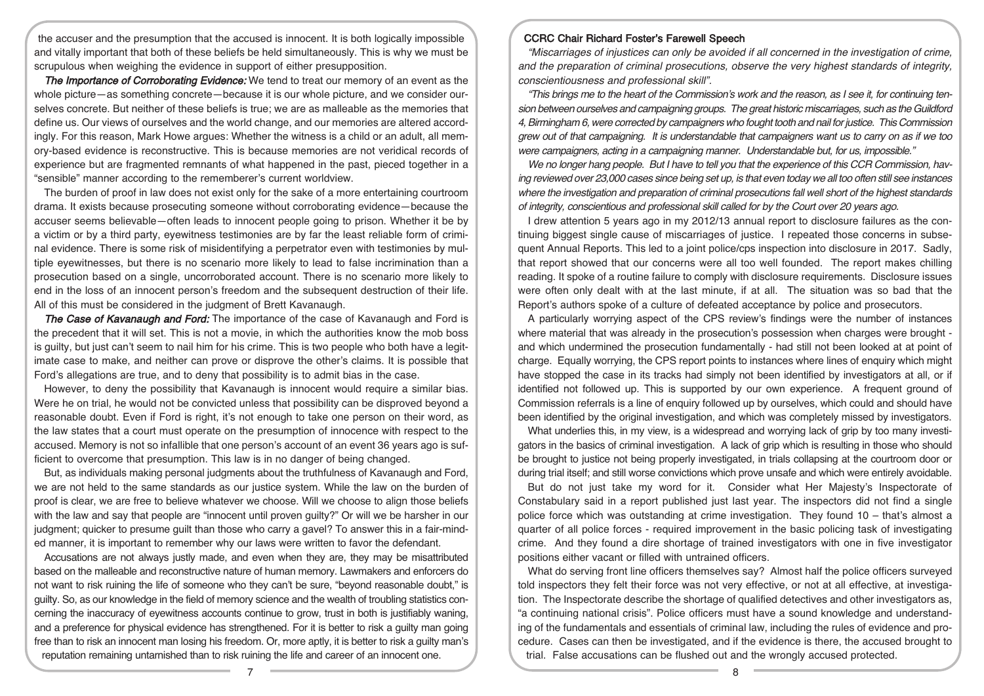the accuser and the presumption that the accused is innocent. It is both logically impossible and vitally important that both of these beliefs be held simultaneously. This is why we must be scrupulous when weighing the evidence in support of either presupposition.

The Importance of Corroborating Evidence: We tend to treat our memory of an event as the whole picture—as something concrete—because it is our whole picture, and we consider ourselves concrete. But neither of these beliefs is true; we are as malleable as the memories that define us. Our views of ourselves and the world change, and our memories are altered accordingly. For this reason, Mark Howe argues: Whether the witness is a child or an adult, all memory-based evidence is reconstructive. This is because memories are not veridical records of experience but are fragmented remnants of what happened in the past, pieced together in a "sensible" manner according to the rememberer's current worldview.

The burden of proof in law does not exist only for the sake of a more entertaining courtroom drama. It exists because prosecuting someone without corroborating evidence—because the accuser seems believable—often leads to innocent people going to prison. Whether it be by a victim or by a third party, eyewitness testimonies are by far the least reliable form of criminal evidence. There is some risk of misidentifying a perpetrator even with testimonies by multiple eyewitnesses, but there is no scenario more likely to lead to false incrimination than a prosecution based on a single, uncorroborated account. There is no scenario more likely to end in the loss of an innocent person's freedom and the subsequent destruction of their life. All of this must be considered in the judgment of Brett Kavanaugh.

The Case of Kavanaugh and Ford: The importance of the case of Kavanaugh and Ford is the precedent that it will set. This is not a movie, in which the authorities know the mob boss is guilty, but just can't seem to nail him for his crime. This is two people who both have a legitimate case to make, and neither can prove or disprove the other's claims. It is possible that Ford's allegations are true, and to deny that possibility is to admit bias in the case.

However, to deny the possibility that Kavanaugh is innocent would require a similar bias. Were he on trial, he would not be convicted unless that possibility can be disproved beyond a reasonable doubt. Even if Ford is right, it's not enough to take one person on their word, as the law states that a court must operate on the presumption of innocence with respect to the accused. Memory is not so infallible that one person's account of an event 36 years ago is sufficient to overcome that presumption. This law is in no danger of being changed.

But, as individuals making personal judgments about the truthfulness of Kavanaugh and Ford, we are not held to the same standards as our justice system. While the law on the burden of proof is clear, we are free to believe whatever we choose. Will we choose to align those beliefs with the law and say that people are "innocent until proven guilty?" Or will we be harsher in our judgment; quicker to presume guilt than those who carry a gavel? To answer this in a fair-minded manner, it is important to remember why our laws were written to favor the defendant.

Accusations are not always justly made, and even when they are, they may be misattributed based on the malleable and reconstructive nature of human memory. Lawmakers and enforcers do not want to risk ruining the life of someone who they can't be sure, "beyond reasonable doubt," is guilty. So, as our knowledge in the field of memory science and the wealth of troubling statistics concerning the inaccuracy of eyewitness accounts continue to grow, trust in both is justifiably waning, and a preference for physical evidence has strengthened. For it is better to risk a guilty man going free than to risk an innocent man losing his freedom. Or, more aptly, it is better to risk a guilty man's reputation remaining untarnished than to risk ruining the life and career of an innocent one.

### CCRC Chair Richard Foster's Farewell Speech

"Miscarriages of injustices can only be avoided if all concerned in the investigation of crime, and the preparation of criminal prosecutions, observe the very highest standards of integrity, conscientiousness and professional skill".

"This brings me to the heart of the Commission's work and the reason, as I see it, for continuing tension between ourselves and campaigning groups. The great historic miscarriages, such as theGuildford 4, Birmingham 6, were corrected by campaigners who fought tooth and nail for justice. This Commission grew out of that campaigning. It is understandable that campaigners want us to carry on as if we too were campaigners, acting in <sup>a</sup> campaigning manner. Understandable but, for us, impossible."

We no longer hang people. But I have to tell you that the experience of this CCR Commission, having reviewed over 23,000 cases since being set up, is that even today we all too often still see instances where the investigation and preparation of criminal prosecutions fall well short of the highest standards of integrity, conscientious and professional skill called for by the Court over 20 years ago.

I drew attention 5 years ago in my 2012/13 annual report to disclosure failures as the continuing biggest single cause of miscarriages of justice. I repeated those concerns in subsequent Annual Reports. This led to a joint police/cps inspection into disclosure in 2017. Sadly, that report showed that our concerns were all too well founded. The report makes chilling reading. It spoke of a routine failure to comply with disclosure requirements. Disclosure issues were often only dealt with at the last minute, if at all. The situation was so bad that the Report's authors spoke of a culture of defeated acceptance by police and prosecutors.

A particularly worrying aspect of the CPS review's findings were the number of instances where material that was already in the prosecution's possession when charges were brought and which undermined the prosecution fundamentally - had still not been looked at at point of charge. Equally worrying, the CPS report points to instances where lines of enquiry which might have stopped the case in its tracks had simply not been identified by investigators at all, or if identified not followed up. This is supported by our own experience. A frequent ground of Commission referrals is a line of enquiry followed up by ourselves, which could and should have been identified by the original investigation, and which was completely missed by investigators.

What underlies this, in my view, is a widespread and worrying lack of grip by too many investigators in the basics of criminal investigation. A lack of grip which is resulting in those who should be brought to justice not being properly investigated, in trials collapsing at the courtroom door or during trial itself; and still worse convictions which prove unsafe and which were entirely avoidable.

But do not just take my word for it. Consider what Her Majesty's Inspectorate of Constabulary said in a report published just last year. The inspectors did not find a single police force which was outstanding at crime investigation. They found 10 – that's almost a quarter of all police forces - required improvement in the basic policing task of investigating crime. And they found a dire shortage of trained investigators with one in five investigator positions either vacant or filled with untrained officers.

What do serving front line officers themselves say? Almost half the police officers surveyed told inspectors they felt their force was not very effective, or not at all effective, at investigation. The Inspectorate describe the shortage of qualified detectives and other investigators as, "a continuing national crisis". Police officers must have a sound knowledge and understanding of the fundamentals and essentials of criminal law, including the rules of evidence and procedure. Cases can then be investigated, and if the evidence is there, the accused brought to trial. False accusations can be flushed out and the wrongly accused protected.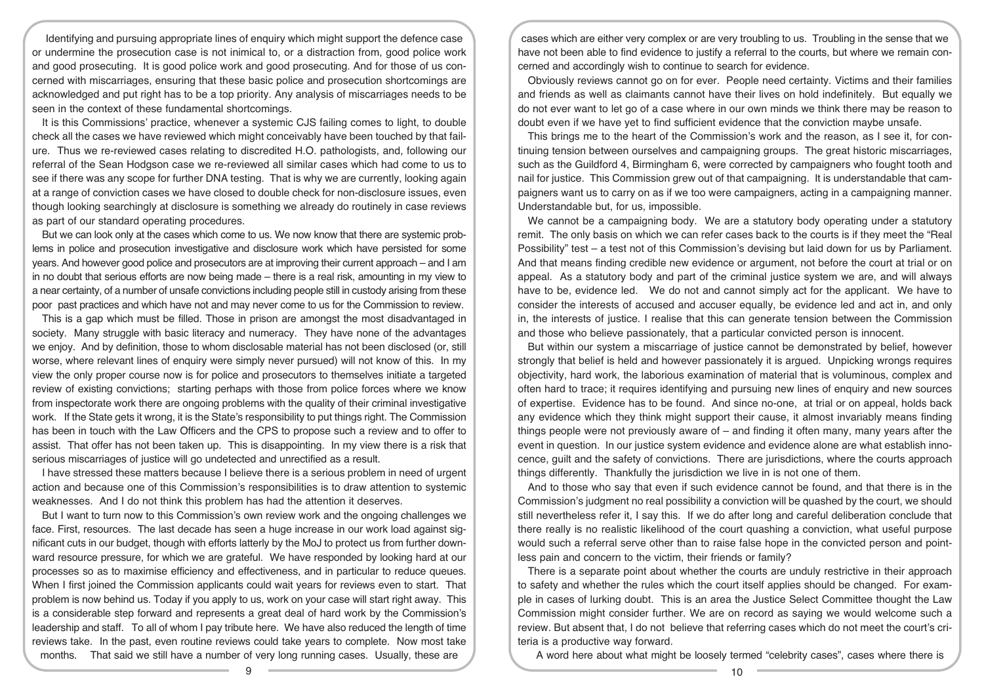Identifying and pursuing appropriate lines of enquiry which might support the defence case or undermine the prosecution case is not inimical to, or a distraction from, good police work and good prosecuting. It is good police work and good prosecuting. And for those of us concerned with miscarriages, ensuring that these basic police and prosecution shortcomings are acknowledged and put right has to be a top priority. Any analysis of miscarriages needs to be seen in the context of these fundamental shortcomings.

It is this Commissions' practice, whenever a systemic CJS failing comes to light, to double check all the cases we have reviewed which might conceivably have been touched by that failure. Thus we re-reviewed cases relating to discredited H.O. pathologists, and, following our referral of the Sean Hodgson case we re-reviewed all similar cases which had come to us to see if there was any scope for further DNA testing. That is why we are currently, looking again at a range of conviction cases we have closed to double check for non-disclosure issues, even though looking searchingly at disclosure is something we already do routinely in case reviews as part of our standard operating procedures.

But we can look only at the cases which come to us. We now know that there are systemic problems in police and prosecution investigative and disclosure work which have persisted for some years. And however good police and prosecutors are at improving their current approach – and I am in no doubt that serious efforts are now being made – there is a real risk, amounting in my view to a near certainty, of a number of unsafe convictions including people still in custody arising from these poor past practices and which have not and may never come to us for the Commission to review.

This is a gap which must be filled. Those in prison are amongst the most disadvantaged in society. Many struggle with basic literacy and numeracy. They have none of the advantages we enjoy. And by definition, those to whom disclosable material has not been disclosed (or, still worse, where relevant lines of enquiry were simply never pursued) will not know of this. In my view the only proper course now is for police and prosecutors to themselves initiate a targeted review of existing convictions; starting perhaps with those from police forces where we know from inspectorate work there are ongoing problems with the quality of their criminal investigative work. If the State gets it wrong, it is the State's responsibility to put things right. The Commission has been in touch with the Law Officers and the CPS to propose such a review and to offer to assist. That offer has not been taken up. This is disappointing. In my view there is a risk that serious miscarriages of justice will go undetected and unrectified as a result.

I have stressed these matters because I believe there is a serious problem in need of urgent action and because one of this Commission's responsibilities is to draw attention to systemic weaknesses. And I do not think this problem has had the attention it deserves.

But I want to turn now to this Commission's own review work and the ongoing challenges we face. First, resources. The last decade has seen a huge increase in our work load against significant cuts in our budget, though with efforts latterly by the MoJ to protect us from further downward resource pressure, for which we are grateful. We have responded by looking hard at our processes so as to maximise efficiency and effectiveness, and in particular to reduce queues. When I first joined the Commission applicants could wait years for reviews even to start. That problem is now behind us. Today if you apply to us, work on your case will start right away. This is a considerable step forward and represents a great deal of hard work by the Commission's leadership and staff. To all of whom I pay tribute here. We have also reduced the length of time reviews take. In the past, even routine reviews could take years to complete. Now most take months. That said we still have a number of very long running cases. Usually, these are

cases which are either very complex or are very troubling to us. Troubling in the sense that we have not been able to find evidence to justify a referral to the courts, but where we remain concerned and accordingly wish to continue to search for evidence.

Obviously reviews cannot go on for ever. People need certainty. Victims and their families and friends as well as claimants cannot have their lives on hold indefinitely. But equally we do not ever want to let go of a case where in our own minds we think there may be reason to doubt even if we have yet to find sufficient evidence that the conviction maybe unsafe.

This brings me to the heart of the Commission's work and the reason, as I see it, for continuing tension between ourselves and campaigning groups. The great historic miscarriages, such as the Guildford 4, Birmingham 6, were corrected by campaigners who fought tooth and nail for justice. This Commission grew out of that campaigning. It is understandable that campaigners want us to carry on as if we too were campaigners, acting in a campaigning manner. Understandable but, for us, impossible.

We cannot be a campaigning body. We are a statutory body operating under a statutory remit. The only basis on which we can refer cases back to the courts is if they meet the "Real Possibility" test – a test not of this Commission's devising but laid down for us by Parliament. And that means finding credible new evidence or argument, not before the court at trial or on appeal. As a statutory body and part of the criminal justice system we are, and will always have to be, evidence led. We do not and cannot simply act for the applicant. We have to consider the interests of accused and accuser equally, be evidence led and act in, and only in, the interests of justice. I realise that this can generate tension between the Commission and those who believe passionately, that a particular convicted person is innocent.

But within our system a miscarriage of justice cannot be demonstrated by belief, however strongly that belief is held and however passionately it is argued. Unpicking wrongs requires objectivity, hard work, the laborious examination of material that is voluminous, complex and often hard to trace; it requires identifying and pursuing new lines of enquiry and new sources of expertise. Evidence has to be found. And since no-one, at trial or on appeal, holds back any evidence which they think might support their cause, it almost invariably means finding things people were not previously aware of – and finding it often many, many years after the event in question. In our justice system evidence and evidence alone are what establish innocence, guilt and the safety of convictions. There are jurisdictions, where the courts approach things differently. Thankfully the jurisdiction we live in is not one of them.

And to those who say that even if such evidence cannot be found, and that there is in the Commission's judgment no real possibility a conviction will be quashed by the court, we should still nevertheless refer it, I say this. If we do after long and careful deliberation conclude that there really is no realistic likelihood of the court quashing a conviction, what useful purpose would such a referral serve other than to raise false hope in the convicted person and pointless pain and concern to the victim, their friends or family?

There is a separate point about whether the courts are unduly restrictive in their approach to safety and whether the rules which the court itself applies should be changed. For example in cases of lurking doubt. This is an area the Justice Select Committee thought the Law Commission might consider further. We are on record as saying we would welcome such a review. But absent that, I do not believe that referring cases which do not meet the court's criteria is a productive way forward.

A word here about what might be loosely termed "celebrity cases", cases where there is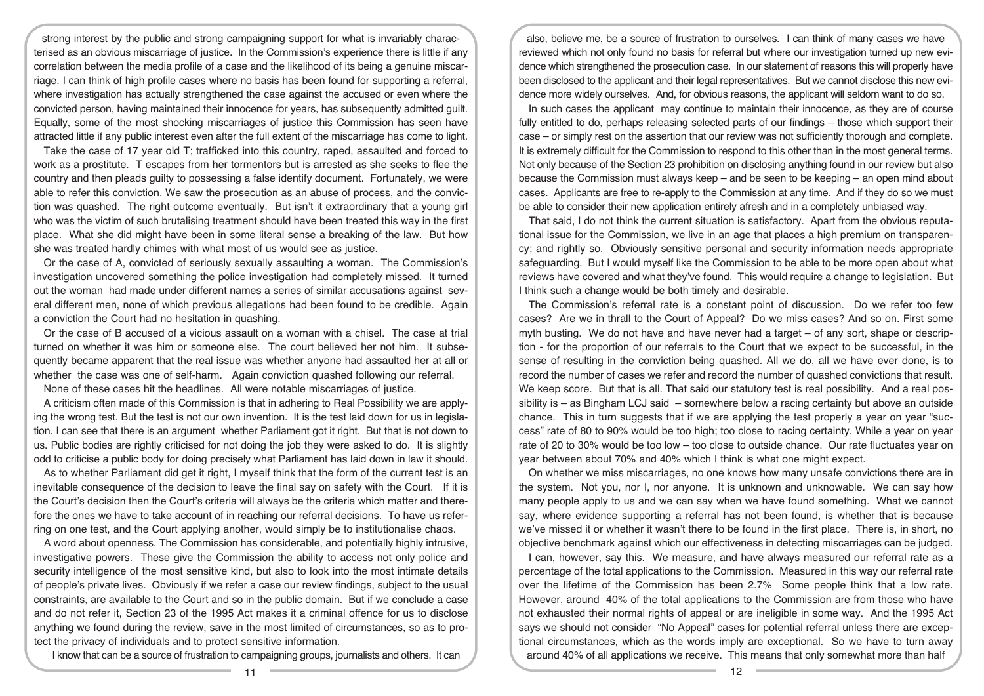strong interest by the public and strong campaigning support for what is invariably characterised as an obvious miscarriage of justice. In the Commission's experience there is little if any correlation between the media profile of a case and the likelihood of its being a genuine miscarriage. I can think of high profile cases where no basis has been found for supporting a referral, where investigation has actually strengthened the case against the accused or even where the convicted person, having maintained their innocence for years, has subsequently admitted guilt. Equally, some of the most shocking miscarriages of justice this Commission has seen have attracted little if any public interest even after the full extent of the miscarriage has come to light.

Take the case of 17 year old T; trafficked into this country, raped, assaulted and forced to work as a prostitute. T escapes from her tormentors but is arrested as she seeks to flee the country and then pleads guilty to possessing a false identify document. Fortunately, we were able to refer this conviction. We saw the prosecution as an abuse of process, and the conviction was quashed. The right outcome eventually. But isn't it extraordinary that a young girl who was the victim of such brutalising treatment should have been treated this way in the first place. What she did might have been in some literal sense a breaking of the law. But how she was treated hardly chimes with what most of us would see as justice.

Or the case of A, convicted of seriously sexually assaulting a woman. The Commission's investigation uncovered something the police investigation had completely missed. It turned out the woman had made under different names a series of similar accusations against several different men, none of which previous allegations had been found to be credible. Again a conviction the Court had no hesitation in quashing.

Or the case of B accused of a vicious assault on a woman with a chisel. The case at trial turned on whether it was him or someone else. The court believed her not him. It subsequently became apparent that the real issue was whether anyone had assaulted her at all or whether the case was one of self-harm. Again conviction quashed following our referral.

None of these cases hit the headlines. All were notable miscarriages of justice.

A criticism often made of this Commission is that in adhering to Real Possibility we are applying the wrong test. But the test is not our own invention. It is the test laid down for us in legislation. I can see that there is an argument whether Parliament got it right. But that is not down to us. Public bodies are rightly criticised for not doing the job they were asked to do. It is slightly odd to criticise a public body for doing precisely what Parliament has laid down in law it should.

As to whether Parliament did get it right, I myself think that the form of the current test is an inevitable consequence of the decision to leave the final say on safety with the Court. If it is the Court's decision then the Court's criteria will always be the criteria which matter and therefore the ones we have to take account of in reaching our referral decisions. To have us referring on one test, and the Court applying another, would simply be to institutionalise chaos.

A word about openness. The Commission has considerable, and potentially highly intrusive, investigative powers. These give the Commission the ability to access not only police and security intelligence of the most sensitive kind, but also to look into the most intimate details of people's private lives. Obviously if we refer a case our review findings, subject to the usual constraints, are available to the Court and so in the public domain. But if we conclude a case and do not refer it, Section 23 of the 1995 Act makes it a criminal offence for us to disclose anything we found during the review, save in the most limited of circumstances, so as to protect the privacy of individuals and to protect sensitive information.

I know that can be a source of frustration to campaigning groups, journalists and others. It can

also, believe me, be a source of frustration to ourselves. I can think of many cases we have reviewed which not only found no basis for referral but where our investigation turned up new evidence which strengthened the prosecution case. In our statement of reasons this will properly have been disclosed to the applicant and their legal representatives. But we cannot disclose this new evidence more widely ourselves. And, for obvious reasons, the applicant will seldom want to do so.

In such cases the applicant may continue to maintain their innocence, as they are of course fully entitled to do, perhaps releasing selected parts of our findings – those which support their case – or simply rest on the assertion that our review was not sufficiently thorough and complete. It is extremely difficult for the Commission to respond to this other than in the most general terms. Not only because of the Section 23 prohibition on disclosing anything found in our review but also because the Commission must always keep – and be seen to be keeping – an open mind about cases. Applicants are free to re-apply to the Commission at any time. And if they do so we must be able to consider their new application entirely afresh and in a completely unbiased way.

That said, I do not think the current situation is satisfactory. Apart from the obvious reputational issue for the Commission, we live in an age that places a high premium on transparency; and rightly so. Obviously sensitive personal and security information needs appropriate safeguarding. But I would myself like the Commission to be able to be more open about what reviews have covered and what they've found. This would require a change to legislation. But I think such a change would be both timely and desirable.

The Commission's referral rate is a constant point of discussion. Do we refer too few cases? Are we in thrall to the Court of Appeal? Do we miss cases? And so on. First some myth busting. We do not have and have never had a target – of any sort, shape or description - for the proportion of our referrals to the Court that we expect to be successful, in the sense of resulting in the conviction being quashed. All we do, all we have ever done, is to record the number of cases we refer and record the number of quashed convictions that result. We keep score. But that is all. That said our statutory test is real possibility. And a real possibility is – as Bingham LCJ said – somewhere below a racing certainty but above an outside chance. This in turn suggests that if we are applying the test properly a year on year "success" rate of 80 to 90% would be too high; too close to racing certainty. While a year on year rate of 20 to 30% would be too low – too close to outside chance. Our rate fluctuates year on year between about 70% and 40% which I think is what one might expect.

On whether we miss miscarriages, no one knows how many unsafe convictions there are in the system. Not you, nor I, nor anyone. It is unknown and unknowable. We can say how many people apply to us and we can say when we have found something. What we cannot say, where evidence supporting a referral has not been found, is whether that is because we've missed it or whether it wasn't there to be found in the first place. There is, in short, no objective benchmark against which our effectiveness in detecting miscarriages can be judged.

I can, however, say this. We measure, and have always measured our referral rate as a percentage of the total applications to the Commission. Measured in this way our referral rate over the lifetime of the Commission has been 2.7% Some people think that a low rate. However, around 40% of the total applications to the Commission are from those who have not exhausted their normal rights of appeal or are ineligible in some way. And the 1995 Act says we should not consider "No Appeal" cases for potential referral unless there are exceptional circumstances, which as the words imply are exceptional. So we have to turn away around 40% of all applications we receive. This means that only somewhat more than half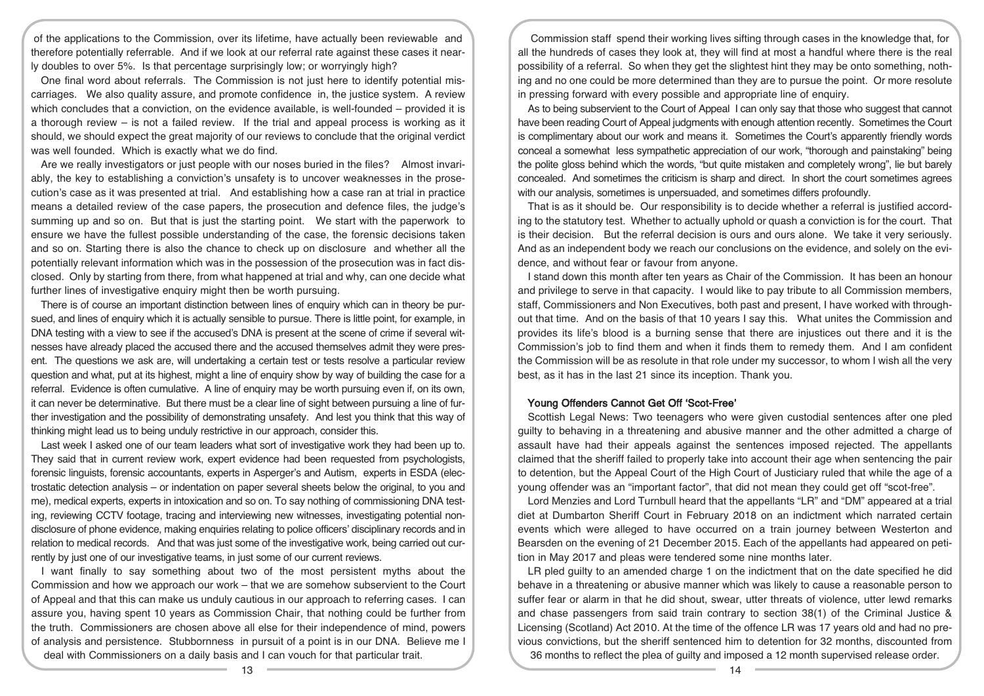of the applications to the Commission, over its lifetime, have actually been reviewable and therefore potentially referrable. And if we look at our referral rate against these cases it nearly doubles to over 5%. Is that percentage surprisingly low; or worryingly high?

One final word about referrals. The Commission is not just here to identify potential miscarriages. We also quality assure, and promote confidence in, the justice system. A review which concludes that a conviction, on the evidence available, is well-founded – provided it is a thorough review – is not a failed review. If the trial and appeal process is working as it should, we should expect the great majority of our reviews to conclude that the original verdict was well founded. Which is exactly what we do find.

Are we really investigators or just people with our noses buried in the files? Almost invariably, the key to establishing a conviction's unsafety is to uncover weaknesses in the prosecution's case as it was presented at trial. And establishing how a case ran at trial in practice means a detailed review of the case papers, the prosecution and defence files, the judge's summing up and so on. But that is just the starting point. We start with the paperwork to ensure we have the fullest possible understanding of the case, the forensic decisions taken and so on. Starting there is also the chance to check up on disclosure and whether all the potentially relevant information which was in the possession of the prosecution was in fact disclosed. Only by starting from there, from what happened at trial and why, can one decide what further lines of investigative enquiry might then be worth pursuing.

There is of course an important distinction between lines of enquiry which can in theory be pursued, and lines of enquiry which it is actually sensible to pursue. There is little point, for example, in DNA testing with a view to see if the accused's DNA is present at the scene of crime if several witnesses have already placed the accused there and the accused themselves admit they were present. The questions we ask are, will undertaking a certain test or tests resolve a particular review question and what, put at its highest, might a line of enquiry show by way of building the case for a referral. Evidence is often cumulative. A line of enquiry may be worth pursuing even if, on its own, it can never be determinative. But there must be a clear line of sight between pursuing a line of further investigation and the possibility of demonstrating unsafety. And lest you think that this way of thinking might lead us to being unduly restrictive in our approach, consider this.

Last week I asked one of our team leaders what sort of investigative work they had been up to. They said that in current review work, expert evidence had been requested from psychologists, forensic linguists, forensic accountants, experts in Asperger's and Autism, experts in ESDA (electrostatic detection analysis – or indentation on paper several sheets below the original, to you and me), medical experts, experts in intoxication and so on. To say nothing of commissioning DNA testing, reviewing CCTV footage, tracing and interviewing new witnesses, investigating potential nondisclosure of phone evidence, making enquiries relating to police officers' disciplinary records and in relation to medical records. And that was just some of the investigative work, being carried out currently by just one of our investigative teams, in just some of our current reviews.

I want finally to say something about two of the most persistent myths about the Commission and how we approach our work – that we are somehow subservient to the Court of Appeal and that this can make us unduly cautious in our approach to referring cases. I can assure you, having spent 10 years as Commission Chair, that nothing could be further from the truth. Commissioners are chosen above all else for their independence of mind, powers of analysis and persistence. Stubbornness in pursuit of a point is in our DNA. Believe me I deal with Commissioners on a daily basis and I can vouch for that particular trait.

Commission staff spend their working lives sifting through cases in the knowledge that, for all the hundreds of cases they look at, they will find at most a handful where there is the real possibility of a referral. So when they get the slightest hint they may be onto something, nothing and no one could be more determined than they are to pursue the point. Or more resolute in pressing forward with every possible and appropriate line of enquiry.

As to being subservient to the Court of Appeal I can only say that those who suggest that cannot have been reading Court of Appeal judgments with enough attention recently. Sometimes the Court is complimentary about our work and means it. Sometimes the Court's apparently friendly words conceal a somewhat less sympathetic appreciation of our work, "thorough and painstaking" being the polite gloss behind which the words, "but quite mistaken and completely wrong", lie but barely concealed. And sometimes the criticism is sharp and direct. In short the court sometimes agrees with our analysis, sometimes is unpersuaded, and sometimes differs profoundly.

That is as it should be. Our responsibility is to decide whether a referral is justified according to the statutory test. Whether to actually uphold or quash a conviction is for the court. That is their decision. But the referral decision is ours and ours alone. We take it very seriously. And as an independent body we reach our conclusions on the evidence, and solely on the evidence, and without fear or favour from anyone.

I stand down this month after ten years as Chair of the Commission. It has been an honour and privilege to serve in that capacity. I would like to pay tribute to all Commission members, staff, Commissioners and Non Executives, both past and present, I have worked with throughout that time. And on the basis of that 10 years I say this. What unites the Commission and provides its life's blood is a burning sense that there are injustices out there and it is the Commission's job to find them and when it finds them to remedy them. And I am confident the Commission will be as resolute in that role under my successor, to whom I wish all the very best, as it has in the last 21 since its inception. Thank you.

#### Young Offenders Cannot Get Off 'Scot-Free'

Scottish Legal News: Two teenagers who were given custodial sentences after one pled guilty to behaving in a threatening and abusive manner and the other admitted a charge of assault have had their appeals against the sentences imposed rejected. The appellants claimed that the sheriff failed to properly take into account their age when sentencing the pair to detention, but the Appeal Court of the High Court of Justiciary ruled that while the age of a young offender was an "important factor", that did not mean they could get off "scot-free".

Lord Menzies and Lord Turnbull heard that the appellants "LR" and "DM" appeared at a trial diet at Dumbarton Sheriff Court in February 2018 on an indictment which narrated certain events which were alleged to have occurred on a train journey between Westerton and Bearsden on the evening of 21 December 2015. Each of the appellants had appeared on petition in May 2017 and pleas were tendered some nine months later.

LR pled guilty to an amended charge 1 on the indictment that on the date specified he did behave in a threatening or abusive manner which was likely to cause a reasonable person to suffer fear or alarm in that he did shout, swear, utter threats of violence, utter lewd remarks and chase passengers from said train contrary to section 38(1) of the Criminal Justice & Licensing (Scotland) Act 2010. At the time of the offence LR was 17 years old and had no previous convictions, but the sheriff sentenced him to detention for 32 months, discounted from 36 months to reflect the plea of guilty and imposed a 12 month supervised release order.